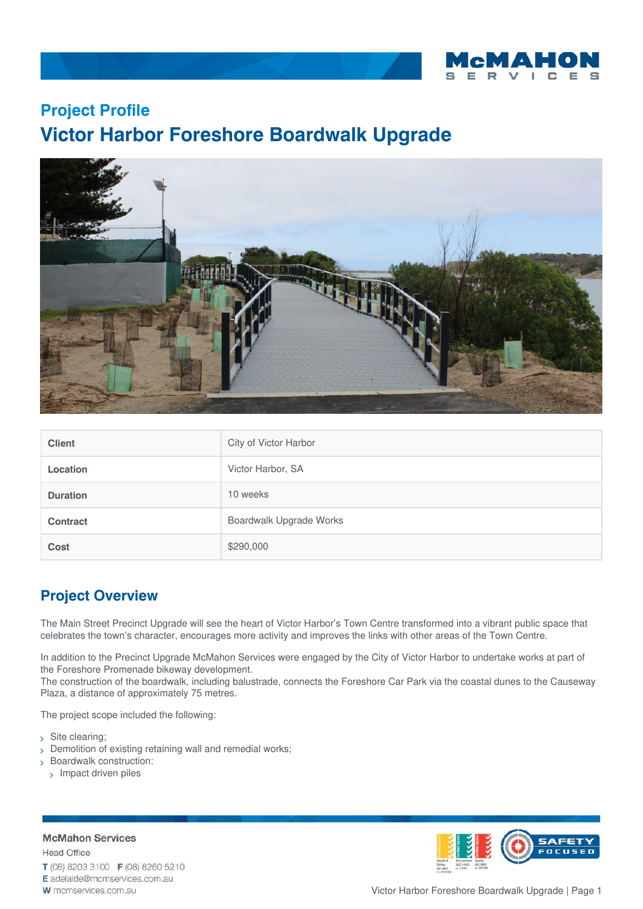

## **Project Profile Victor Harbor Foreshore Boardwalk Upgrade**



| <b>Client</b>   | City of Victor Harbor   |
|-----------------|-------------------------|
| <b>Location</b> | Victor Harbor, SA       |
| <b>Duration</b> | 10 weeks                |
| <b>Contract</b> | Boardwalk Upgrade Works |
| Cost            | \$290,000               |

## **Project Overview**

The Main Street Precinct Upgrade will see the heart of Victor Harbor's Town Centre transformed into a vibrant public space that celebrates the town's character, encourages more activity and improves the links with other areas of the Town Centre.

In addition to the Precinct Upgrade McMahon Services were engaged by the City of Victor Harbor to undertake works at part of the Foreshore Promenade bikeway development.

The construction of the boardwalk, including balustrade, connects the Foreshore Car Park via the coastal dunes to the Causeway Plaza, a distance of approximately 75 metres.

The project scope included the following:

- > Site clearing;
- Demolition of existing retaining wall and remedial works;
- Boardwalk construction:
- > Impact driven piles

## **McMahon Services**

**Head Office** T (08) 8203 3100 F (08) 8260 5210



W mcmservices.com.au



Victor Harbor Foreshore Boardwalk Upgrade | Page 1